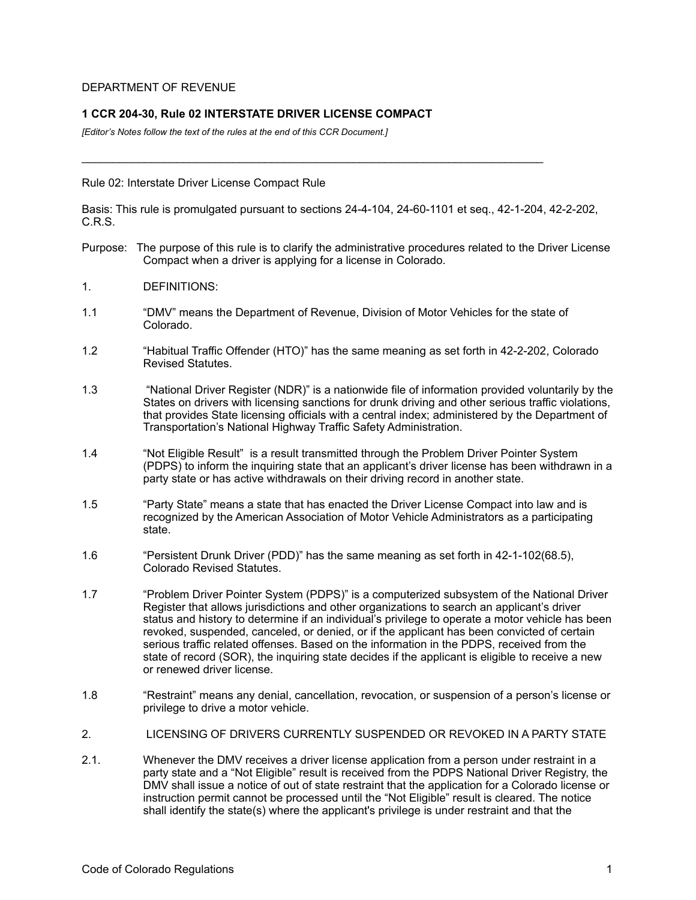### DEPARTMENT OF REVENUE

# **1 CCR 204-30, Rule 02 INTERSTATE DRIVER LICENSE COMPACT**

*[Editor's Notes follow the text of the rules at the end of this CCR Document.]*

#### Rule 02: Interstate Driver License Compact Rule

Basis: This rule is promulgated pursuant to sections 24-4-104, 24-60-1101 et seq., 42-1-204, 42-2-202, C.R.S.

 $\mathcal{L}_\text{G} = \{ \mathcal{L}_\text{G} \mid \mathcal{L}_\text{G} \mid \mathcal{L}_\text{G} \mid \mathcal{L}_\text{G} \mid \mathcal{L}_\text{G} \mid \mathcal{L}_\text{G} \mid \mathcal{L}_\text{G} \mid \mathcal{L}_\text{G} \mid \mathcal{L}_\text{G} \mid \mathcal{L}_\text{G} \mid \mathcal{L}_\text{G} \mid \mathcal{L}_\text{G} \mid \mathcal{L}_\text{G} \mid \mathcal{L}_\text{G} \mid \mathcal{L}_\text{G} \mid \mathcal{L}_\text{G}$ 

- Purpose: The purpose of this rule is to clarify the administrative procedures related to the Driver License Compact when a driver is applying for a license in Colorado.
- 1. DEFINITIONS:
- 1.1 "DMV" means the Department of Revenue, Division of Motor Vehicles for the state of Colorado.
- 1.2 "Habitual Traffic Offender (HTO)" has the same meaning as set forth in 42-2-202, Colorado Revised Statutes.
- 1.3 "National Driver Register (NDR)" is a nationwide file of information provided voluntarily by the States on drivers with licensing sanctions for drunk driving and other serious traffic violations, that provides State licensing officials with a central index; administered by the Department of Transportation's National Highway Traffic Safety Administration.
- 1.4 "Not Eligible Result" is a result transmitted through the Problem Driver Pointer System (PDPS) to inform the inquiring state that an applicant's driver license has been withdrawn in a party state or has active withdrawals on their driving record in another state.
- 1.5 "Party State" means a state that has enacted the Driver License Compact into law and is recognized by the American Association of Motor Vehicle Administrators as a participating state.
- 1.6 "Persistent Drunk Driver (PDD)" has the same meaning as set forth in 42-1-102(68.5), Colorado Revised Statutes.
- 1.7 "Problem Driver Pointer System (PDPS)" is a computerized subsystem of the National Driver Register that allows jurisdictions and other organizations to search an applicant's driver status and history to determine if an individual's privilege to operate a motor vehicle has been revoked, suspended, canceled, or denied, or if the applicant has been convicted of certain serious traffic related offenses. Based on the information in the PDPS, received from the state of record (SOR), the inquiring state decides if the applicant is eligible to receive a new or renewed driver license.
- 1.8 "Restraint" means any denial, cancellation, revocation, or suspension of a person's license or privilege to drive a motor vehicle.
- 2. LICENSING OF DRIVERS CURRENTLY SUSPENDED OR REVOKED IN A PARTY STATE
- 2.1. Whenever the DMV receives a driver license application from a person under restraint in a party state and a "Not Eligible" result is received from the PDPS National Driver Registry, the DMV shall issue a notice of out of state restraint that the application for a Colorado license or instruction permit cannot be processed until the "Not Eligible" result is cleared. The notice shall identify the state(s) where the applicant's privilege is under restraint and that the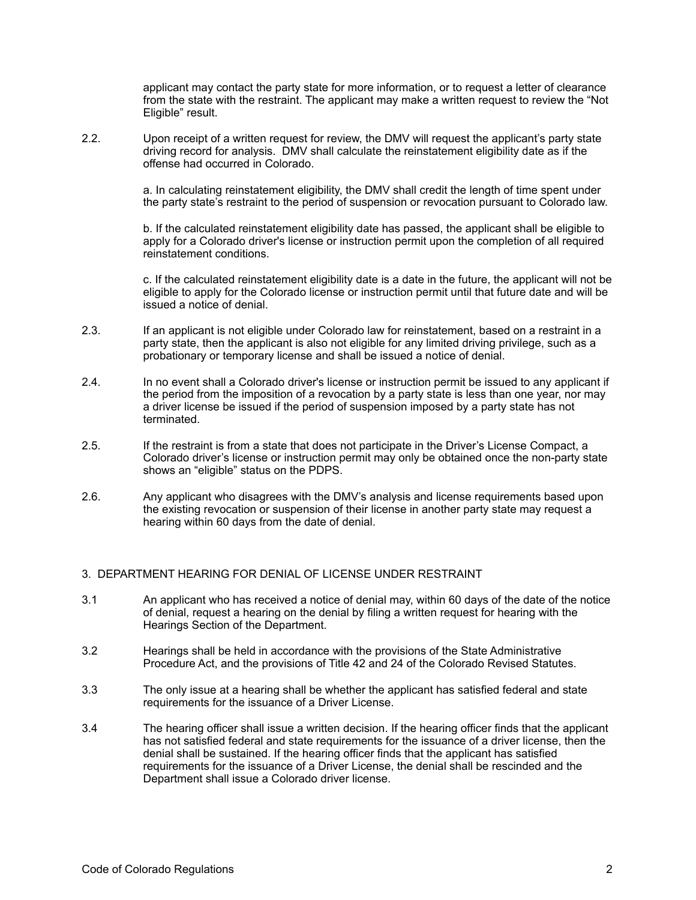applicant may contact the party state for more information, or to request a letter of clearance from the state with the restraint. The applicant may make a written request to review the "Not Eligible" result.

2.2. Upon receipt of a written request for review, the DMV will request the applicant's party state driving record for analysis. DMV shall calculate the reinstatement eligibility date as if the offense had occurred in Colorado.

> a. In calculating reinstatement eligibility, the DMV shall credit the length of time spent under the party state's restraint to the period of suspension or revocation pursuant to Colorado law.

> b. If the calculated reinstatement eligibility date has passed, the applicant shall be eligible to apply for a Colorado driver's license or instruction permit upon the completion of all required reinstatement conditions.

c. If the calculated reinstatement eligibility date is a date in the future, the applicant will not be eligible to apply for the Colorado license or instruction permit until that future date and will be issued a notice of denial.

- 2.3. If an applicant is not eligible under Colorado law for reinstatement, based on a restraint in a party state, then the applicant is also not eligible for any limited driving privilege, such as a probationary or temporary license and shall be issued a notice of denial.
- 2.4. In no event shall a Colorado driver's license or instruction permit be issued to any applicant if the period from the imposition of a revocation by a party state is less than one year, nor may a driver license be issued if the period of suspension imposed by a party state has not terminated.
- 2.5. If the restraint is from a state that does not participate in the Driver's License Compact, a Colorado driver's license or instruction permit may only be obtained once the non-party state shows an "eligible" status on the PDPS.
- 2.6. Any applicant who disagrees with the DMV's analysis and license requirements based upon the existing revocation or suspension of their license in another party state may request a hearing within 60 days from the date of denial.

### 3. DEPARTMENT HEARING FOR DENIAL OF LICENSE UNDER RESTRAINT

- 3.1 An applicant who has received a notice of denial may, within 60 days of the date of the notice of denial, request a hearing on the denial by filing a written request for hearing with the Hearings Section of the Department.
- 3.2 Hearings shall be held in accordance with the provisions of the State Administrative Procedure Act, and the provisions of Title 42 and 24 of the Colorado Revised Statutes.
- 3.3 The only issue at a hearing shall be whether the applicant has satisfied federal and state requirements for the issuance of a Driver License.
- 3.4 The hearing officer shall issue a written decision. If the hearing officer finds that the applicant has not satisfied federal and state requirements for the issuance of a driver license, then the denial shall be sustained. If the hearing officer finds that the applicant has satisfied requirements for the issuance of a Driver License, the denial shall be rescinded and the Department shall issue a Colorado driver license.